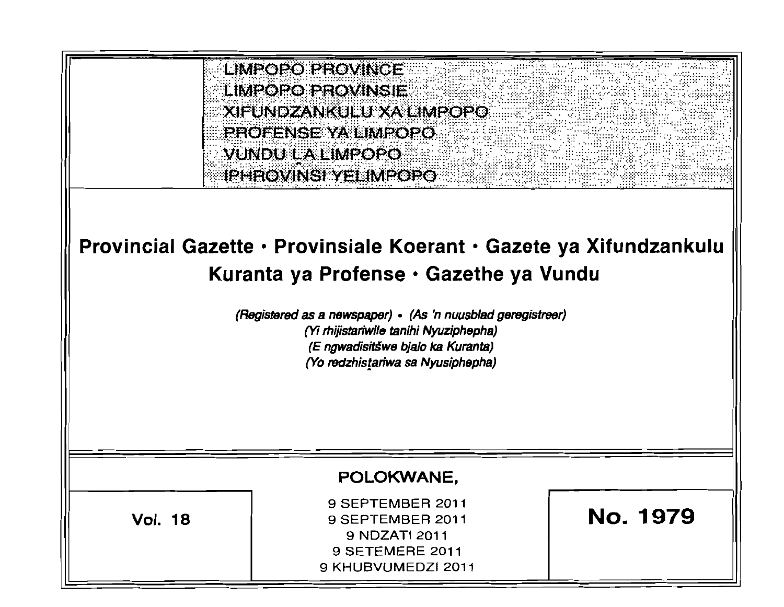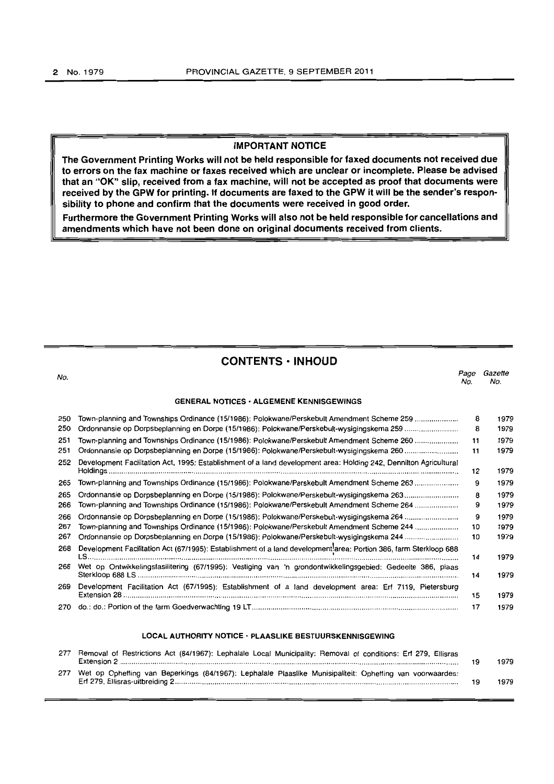#### IMPORTANT NOTICE

The Government Printing Works will not be held responsible for faxed documents not received due to errors on the fax machine or faxes received which are unclear or incomplete. Please be advised that an "OK" slip, received from a fax machine, will not be accepted as proof that documents were received by the GPW for printing. If documents are faxed to the GPW it will be the sender's responsibility to phone and confirm that the documents were received in good order.

Furthermore the Government Printing Works will also not be held responsible for cancellations and amendments which have not been done on original documents received from clients.

CONTENTS· INHOUD

No. *Page Gazette*  No. No. GENERAL NOTICES· ALGEMENE KENNISGEWINGS Town-planning and Townships Ordinance (15/1986): Polokwane/Perskebult Amendment Scheme 259 .................... . 8 1979 Ordonnansie op Dorpsbeplanning en Dorpe (15/1986): PolokwanelPerskebult-wysigingskema 259 ......................... . 8 1979 Town-planning and Townships Ordinance (1511986): Polokwane/Perskebult Amendment Scheme 260 .................... . 11 1979 Ordonnansie op Dorpsbeplanning en Dorpe (15/1986): PolokwanefPerskebult-wysigingskema 260 ......................... . 11 1979 Development Facilitation Act, 1995: Establishment of a land development area: Holding 242, Dennilton Agricultural Holdings ........................................................................................................................................................................ . 12 1979 Town-planning and Townships Ordinance (1511986): Polokwane/Perskebult Amendment Scheme 263 ................... .. 9 1979 Ordonnansie op Dorpsbeplanning en Dorpe (15f1986): PolokwanelPerskebult-wysigingskema 263 ........................ .. 8 1979 Town-planning and Townships Ordinance (15f1986): Polokwane/PerskebultAmendment Scheme 264 .................... . 9 1979 Ordonnansie op Dorpsbeplanning en Darpe (15/1986): PolokwanelPerskebult-wysigingskema 264 ........................ .. 9 1979 Town-planning and Townships Ordinance (15/1986): Polokwane/Perskebult Amendment Scheme 244 ................... .. 10 1979 Ordonnansie op Dorpsbeplanning en Dorpe (1511986): Polokwane/Perskebult-wysigingskema 244 ......................... . 10 1979 Development FaCilitation Act (67/1995): Establishment 01 a land development'area: Portion 386, farm Sterkloop 688 LS ...................................................................................................................... : ........................................................... . 14 1979 Wet op Ontwikkelingsfasilitering (67/1995): Vestiging van 'n grondontwikkelingsgebied: Gedeelte 386, plaas Sterkloop 688 LS ................................................................................................................ , ......................................... . 14 1979 Development Facilitation Act (67/1995): Establishment of a land development area: Erf 7119, Pietersburg Extension 28 " .................. ' ............................................................................................................................................ . 15 1979 do.: do.: Portion of the farm Goedverwachting 19 LT .................................................................................................. .. 17 1979

#### LOCAL AUTHORITY NOTICE· PLAASLIKE BESTUURSKENNISGEWING

| 277 | Removal of Restrictions Act (84/1967): Lephalale Local Municipality: Removal of conditions: Erf 279, Ellisras | 1979 |
|-----|---------------------------------------------------------------------------------------------------------------|------|
|     | 277 Wet op Opheffing van Beperkings (84/1967): Lephalale Plaaslike Munisipaliteit: Opheffing van voorwaardes: | 1979 |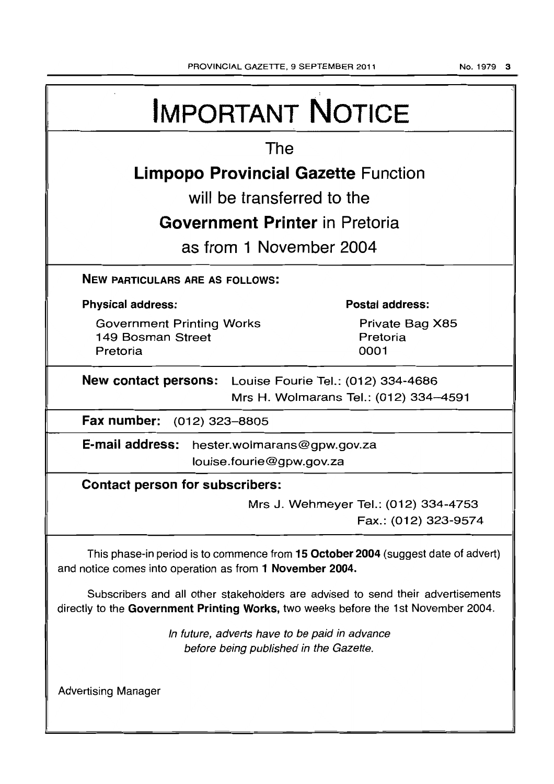|                                                                                                  | <b>IMPORTANT NOTICE</b>                                                                                                                                               |  |  |  |
|--------------------------------------------------------------------------------------------------|-----------------------------------------------------------------------------------------------------------------------------------------------------------------------|--|--|--|
| The                                                                                              |                                                                                                                                                                       |  |  |  |
| <b>Limpopo Provincial Gazette Function</b>                                                       |                                                                                                                                                                       |  |  |  |
| will be transferred to the                                                                       |                                                                                                                                                                       |  |  |  |
| <b>Government Printer</b> in Pretoria                                                            |                                                                                                                                                                       |  |  |  |
| as from 1 November 2004                                                                          |                                                                                                                                                                       |  |  |  |
| <b>NEW PARTICULARS ARE AS FOLLOWS:</b>                                                           |                                                                                                                                                                       |  |  |  |
| <b>Physical address:</b>                                                                         | <b>Postal address:</b>                                                                                                                                                |  |  |  |
| <b>Government Printing Works</b><br>149 Bosman Street<br>Pretoria                                | Private Bag X85<br>Pretoria<br>0001                                                                                                                                   |  |  |  |
| New contact persons: Louise Fourie Tel.: (012) 334-4686<br>Mrs H. Wolmarans Tel.: (012) 334-4591 |                                                                                                                                                                       |  |  |  |
| Fax number:<br>(012) 323–8805                                                                    |                                                                                                                                                                       |  |  |  |
| E-mail address:<br>hester.wolmarans@gpw.gov.za<br>louise.fourie@gpw.gov.za                       |                                                                                                                                                                       |  |  |  |
| <b>Contact person for subscribers:</b>                                                           |                                                                                                                                                                       |  |  |  |
|                                                                                                  | Mrs J. Wehmeyer Tel.: (012) 334-4753<br>Fax.: (012) 323-9574                                                                                                          |  |  |  |
| and notice comes into operation as from 1 November 2004.                                         | This phase-in period is to commence from 15 October 2004 (suggest date of advert)                                                                                     |  |  |  |
|                                                                                                  | Subscribers and all other stakeholders are advised to send their advertisements<br>directly to the Government Printing Works, two weeks before the 1st November 2004. |  |  |  |
|                                                                                                  | In future, adverts have to be paid in advance<br>before being published in the Gazette.                                                                               |  |  |  |
| <b>Advertising Manager</b>                                                                       |                                                                                                                                                                       |  |  |  |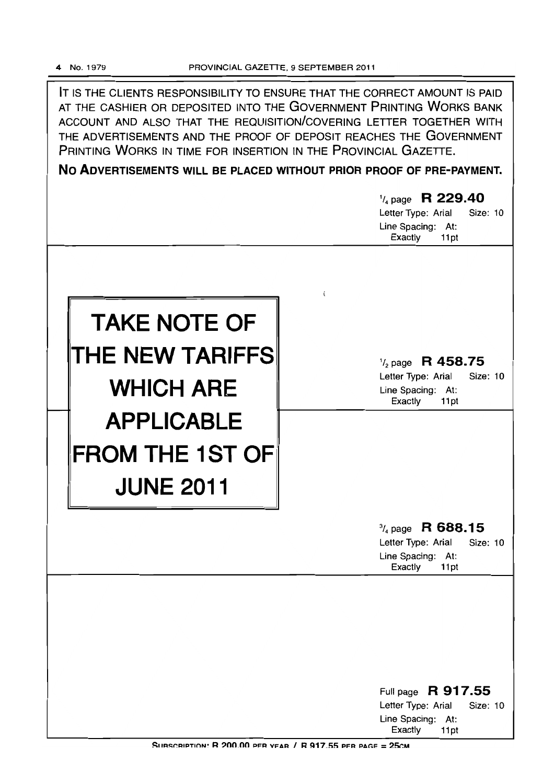IT IS THE CLIENTS RESPONSIBILITY TO ENSURE THAT THE CORRECT AMOUNT IS PAID AT THE CASHIER OR DEPOSITED INTO THE GOVERNMENT PRINTING WORKS BANK ACCOUNT AND ALSO THAT THE REQUISITION/COVERING LETTER TOGETHER WITH THE ADVERTISEMENTS AND THE PROOF OF DEPOSIT REACHES THE GOVERNMENT PRINTING WORKS IN TIME FOR INSERTION IN THE PROVINCIAL GAZETTE.

**No ADVERTISEMENTS WILL BE PLACED WITHOUT PRIOR PROOF OF PRE-PAYMENT.** 

|                                                                   | $\frac{1}{4}$ page R 229.40<br>Letter Type: Arial<br><b>Size: 10</b><br>Line Spacing: At:<br>Exactly<br>11pt |
|-------------------------------------------------------------------|--------------------------------------------------------------------------------------------------------------|
| í.<br><b>TAKE NOTE OF</b><br>THE NEW TARIFFSI<br><b>WHICH ARE</b> | $\frac{1}{2}$ page R 458.75<br>Letter Type: Arial<br>Size: 10<br>Line Spacing: At:<br>Exactly<br>11pt        |
| <b>APPLICABLE</b><br><b>FROM THE 1ST OF</b><br><b>JUNE 2011</b>   |                                                                                                              |
|                                                                   | $\frac{3}{4}$ page R 688.15<br>Letter Type: Arial<br>Size: 10<br>Line Spacing: At:<br>Exactly<br>11pt        |
|                                                                   | Full page R 917.55<br>Letter Type: Arial<br>Size: 10                                                         |
|                                                                   | Line Spacing:<br>At:<br>Exactly<br>11pt                                                                      |

SUBSCRIPTION: R 200.00 PER YEAR / R 917.55 PER PAGE = 25CM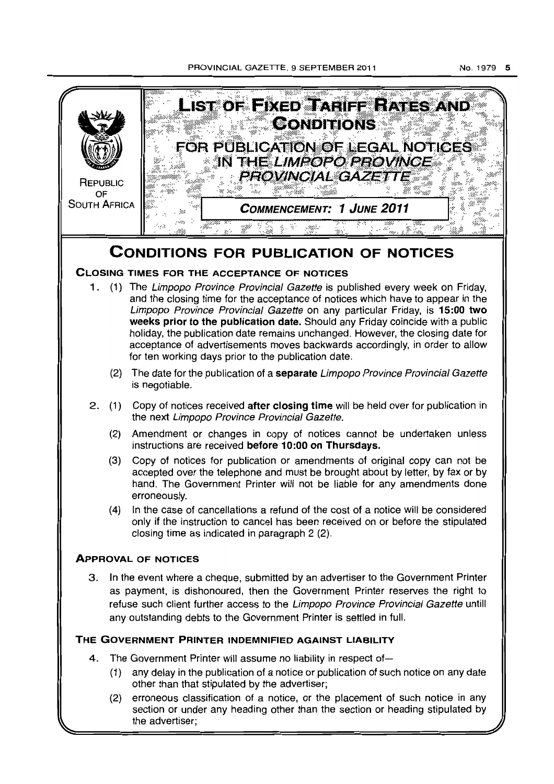

(2) erroneous classification of a notice, or the placement of such notice in any section or under any heading other than the section or heading stipulated by the advertiser;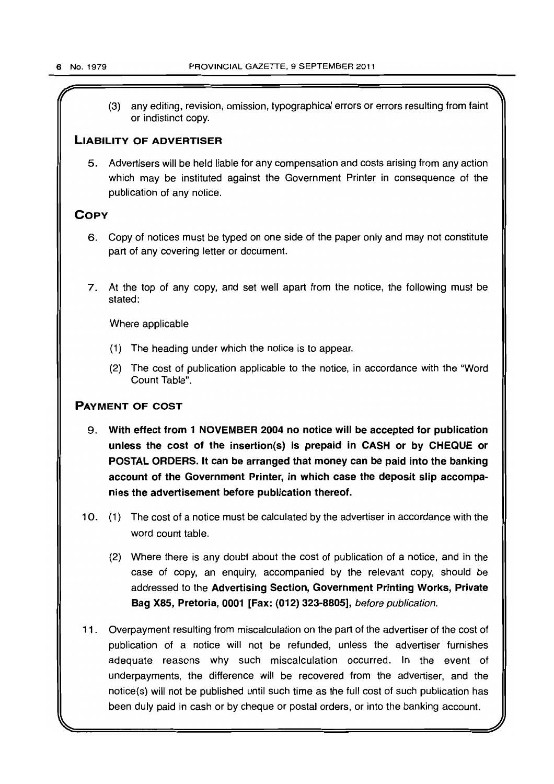(3) any editing, revision, omission, typographical errors or errors resulting from faint or indistinct copy.

### LIABILITY OF ADVERTISER

5. Advertisers will be held liable for any compensation and costs arising from any action which may be instituted against the Government Printer in consequence of the publication of any notice.

### **COPY**

- 6. Copy of notices must be typed on one side of the paper only and may not constitute part of any covering letter or document.
- 7. At the top of any copy, and set well apart from the notice, the following must be stated:

Where applicable

- (1) The heading under which the notice is to appear.
- (2) The cost of publication applicable to the notice, in accordance with the "Word Count Table".

### PAYMENT OF COST

- 9. With effect from 1 NOVEMBER 2004 no notice will be accepted for publication unless the cost of the insertion(s) is prepaid in CASH or by CHEQUE or POSTAL ORDERS. It can be arranged that money can be paid into the banking account of the Government Printer, in which case the deposit slip accompanies the advertisement before publication thereof.
- 10. (1) The cost of a notice must be calculated by the advertiser in accordance with the word count table.
	- (2) Where there is any doubt about the cost of publication of a notice, and in the case of copy, an enquiry, accompanied by the relevant copy, should be addressed to the Advertising Section, Government Printing Works, Private Bag X85, Pretoria, 0001 [Fax: (012) 323-8805], before publication.
- 11 . Overpayment resulting from miscalculation on the part of the advertiser of the cost of publication of a notice will not be refunded, unless the advertiser furnishes adequate reasons why such miscalculation occurred. In the event of underpayments, the difference will be recovered from the advertiser, and the notice(s) will not be published until such time as the full cost of such publication has been duly paid in cash or by cheque or postal orders, or into the banking account.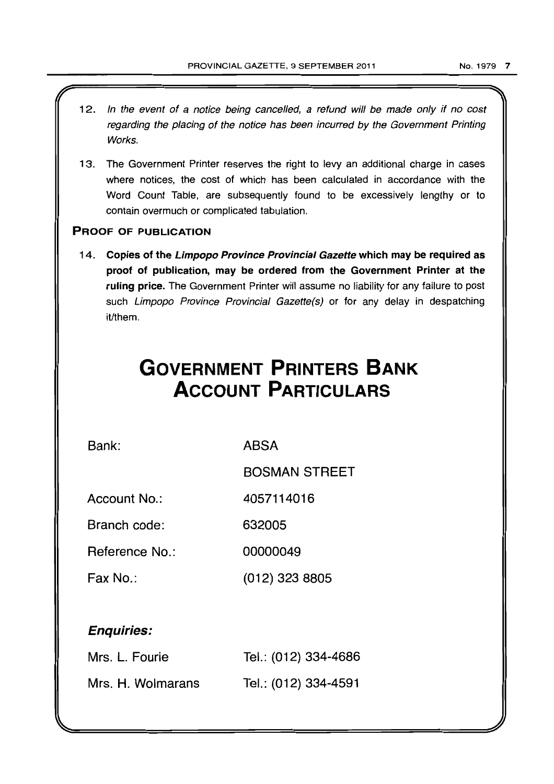- 12. In the event of a notice being cancelled, a refund will be made only if no cost regarding the placing of the notice has been incurred by the Government Printing Works.
- 13. The Government Printer reserves the right to levy an additional charge in cases where notices, the cost of which has been calculated in accordance with the Word Count Table, are subsequently found to be excessively lengthy or to contain overmuch or complicated tabulation.

### PROOF OF PUBLICATION

14. Copies of the Limpopo Province Provincial Gazette which may be required as proof of publication, may be ordered from the Government Printer at the ruling price. The Government Printer will assume no liability for any failure to post such Limpopo Province Provincial Gazette(s) or for any delay in despatching it/them.

# **GOVERNMENT PRINTERS BANK ACCOUNT PARTICULARS**

Bank:

ABSA

BOSMAN STREET

Account No.: 4057114016

Branch code: 632005

Reference No.: 00000049

Fax No.: (012) 323 8805

## Enquiries:

| Mrs. L. Fourie    | Tel.: (012) 334-4686 |
|-------------------|----------------------|
| Mrs. H. Wolmarans | Tel.: (012) 334-4591 |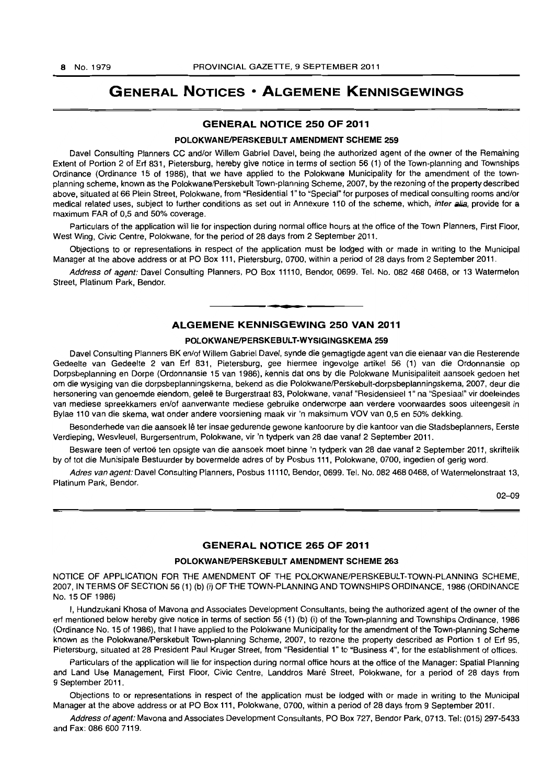# GENERAL NOTICES • ALGEMENE KENNISGEWINGS

### GENERAL NOTICE 250 OF 2011

#### POLOKWANE/PERSKEBULT AMENDMENT SCHEME 259

Davel Consulting Planners CC and/or Willem Gabriel Davel, being the authorized agent of the owner of the Remaining Extent of Portion 2 of Erf 831, Pietersburg, hereby give notice in terms of section 56 (1) of the Town-planning and Townships Ordinance (Ordinance 15 of 1986), that we have applied to the Polokwane Municipality for the amendment of the townplanning scheme, known as the Polokwane/Perskebult Town-planning Scheme, 2007, by the rezoning of the property described above, situated at 66 Plein Street, Polokwane, from "Residential 1" to "Special" for purposes of medical consulting rooms andlor medical related uses, subject to further conditions as set out in Annexure 110 of the scheme, which, inter alia, provide for a maximum FAR of 0,5 and 50% coverage.

Particulars of the application will lie for inspection during normal office hours at the office of the Town Planners, First Floor, West Wing, Civic Centre, Polokwane, for the period of 28 days from 2 September 2011.

Objections to or representations in respect of the application must be lodged with or made in writing to the Municipal Manager at the above address or at PO Box 111, Pietersburg, 0700, within a period of 28 days from 2 September 2011.

Address of agent: Davel Consulting Planners, PO Box 11110, Bendor, 0699. Tel. No. 082 468 0468, or 13 Watermelon Street, Platinum Park, Bendor.

**1\_** 

#### ALGEMENE KENNISGEWING 25D VAN 2011

#### POLOKWANE/PERSKEBULT-WYSIGINGSKEMA 259

Davel Consulting Planners BK en/of Willem Gabriel Davel, synde die gemagtigde agent van die eienaar van die Resterende Gedeelte van Gedeelte 2 van Erf 831, Pietersburg, gee hiermee ingevolge artikel 56 (1) van die Ordonnansie op Dorpsbeplanning en Dorpe (Ordonnansie 15 van 1986), kennis dat ons by die Polokwane Munisipaliteit aansoek gedoen het am die wysiging van die dorpsbeplanningskema, bekend as die PolokwanelPerskebult-dorpsbeplanningskema, 2007, deur die hersonering van genoemde eiendom, gelee te Burgerstraat 83, Polokwane, vanaf "Residensieel 1" na "Spesiaal" vir doeleindes van mediese spreekkamers en/of aanverwante mediese gebruike onderworpe aan verdere voorwaardes soos uiteengesit in Bylae 110 van die skema, wat onder andere voorsiening maak vir 'n maksimum VOV van 0,5 en 50% dekking.

Besonderhede van die aansoek lê ter insae gedurende gewone kantoorure by die kantoor van die Stadsbeplanners, Eerste Verdieping, Wesvleuel, Burgersentrum, Polokwane, vir 'n tydperk van 28 dae vanaf 2 September 2011.

Besware teen of vertoë ten opsigte van die aansoek moet binne 'n tydperk van 28 dae vanaf 2 September 2011, skriftelik by of tot die Munisipale Bestuurder by bovermelde adres of by Posbus 111, Polokwane, 0700, ingedien of gerig word.

Adres van agent: Davel Consulting Planners, Posbus 11110, Bendor, 0699. Tel. No. 082 468 0468, of Watermelonstraat 13, Platinum Park, Bendor.

02-09

### GENERAL NOTICE 265 OF 2011

#### POLOKWANE/PERSKEBULT AMENDMENT SCHEME 263

NOTICE OF APPLICATION FOR THE AMENDMENT OF THE POLOKWANE/PERSKEBULT-TOWN-PLANNING SCHEME, 2007, IN TERMS OF SECTION 56 (1) (b) (i) OF THE TOWN-PLANNING AND TOWNSHIPS ORDINANCE, 1986 (ORDINANCE No. 15 OF 1986)

I, Hundzukani Khosa of Mavona and Associates Development Consultants, being the authorized agent of the owner of the erf mentioned below hereby give notice in terms of section 56 (1) (b) (i) of the Town-planning and Townships Ordinance, 1986 (Ordinance No. 15 of 1986), that I have applied to the Polokwane Municipality for the amendment of the Town-planning Scheme known as the Polokwane/Perskebult Town-planning Scheme, 2007, to rezone the property described as Portion 1 of Erf 95, Pietersburg, situated at 28 President Paul Kruger Street, from "Residential 1" to "Business 4", for the establishment of offices.

Particulars of the application will lie for inspection during normal office hours at the office of the Manager: Spatial Planning and Land Use Management, First Floor, Civic Centre, Landdros Mare Street, Polokwane, for a period of 28 days from 9 September 2011.

Objections to or representations in respect of the application must be lodged with or made in writing to the Municipal Manager at the above address or at PO Box 111, Polokwane, 0700, within a period of 28 days from 9 September 2011.

Address of agent: Mavona and Associates Development Consultants, PO Box 727, Bendor Park, 0713. Tel: (015) 297-5433 and Fax: 086 600 7119.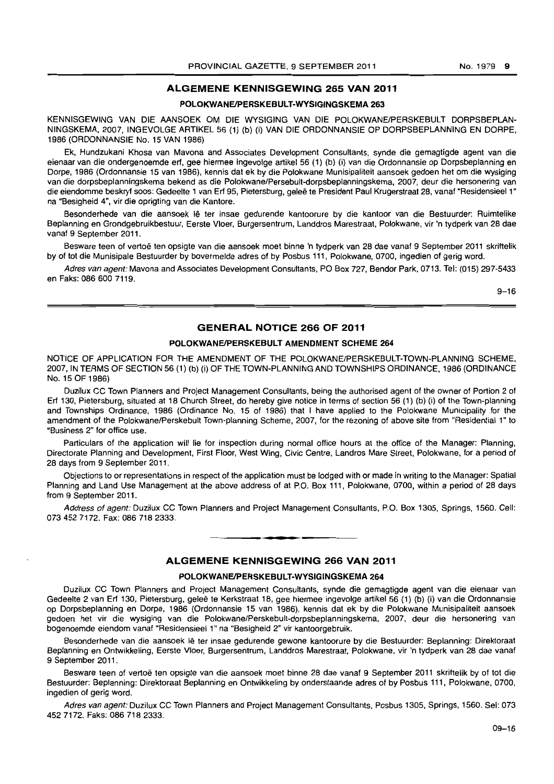### **ALGEMENE KENNISGEWING 265 VAN 2011**

#### **POlOKWANEIPERSKEBULT-WYSIGINGSKEMA 263**

KENNISGEWING VAN DIE AANSOEK OM DIE WYSIGING VAN DIE POLOKWANE/PERSKEBULT DORPSBEPLAN-NINGSKEMA, 2007, INGEVOLGE ARTIKEL 56 (1) (b) (i) VAN DIE ORDONNANSIE OP DORPSBEPLANNING EN DORPE, 1986 (ORDONNANSIE No. 15 VAN 1986)

Ek, Hundzukani Khosa van Mavona and Associates Development Consultants, synde die gemagtigde agent van die eienaar van die ondergenoemde erf, gee hiermee ingevolge artikel 56 (1) (b) (i) van die Ordonnansie op Dorpsbeplanning en Dorpe, 1986 (Ordonnansie 15 van 1986), kennis dat ek by die Polokwane Munisipaliteit aansoek gedoen het om die wysiging van die dorpsbeplanningskema bekend as die Polokwane/Persebult-dorpsbeplanningskema, 2007, deur die hersonering van die eiendomme beskryf soos: Gedeelte 1 van Ert 95, Pietersburg, gelee te President Paul Krugerstraat 28, vanaf "Residensieel 1" na "Besigheid 4", vir die oprigting van die Kantore.

Besonderhede van die aansoek lê ter insae gedurende kantoorure by die kantoor van die Bestuurder: Ruimtelike Beplanning en Grondgebruikbestuur, Eerste Vloer, Burgersentrum, Landdros Marestraat, Polokwane, vir 'n tydperk van 28 dae vanaf 9 September 2011.

Besware teen of vertoë ten opsigte van die aansoek moet binne 'n tydperk van 28 dae vanaf 9 September 2011 skriftelik by of tot die Munisipale Bestuurder by bovermelde adres of by Posbus 111, Polokwane, 0700, ingedien of gerig word.

Adres van agent: Mavona and Associates Development Consultants, PO Box 727, Bendor Park, 0713. Tel: (015) 297-5433 en Faks: 0866007119.

9-16

### **GENERAL NOTICE 266 OF 2011**

#### **POLOKWANE/PERSKEBULT AMENDMENT SCHEME 264**

NOTICE OF APPLICATION FOR THE AMENDMENT OF THE POLOKWANE/PERSKEBULT-TOWN-PLANNING SCHEME, 2007, IN TERMS OF SECTION 56 (1) (b) (i) OF THE TOWN-PLANNING AND TOWNSHIPS ORDINANCE, 1986 (ORDINANCE No. 15 OF 1986)

Duzilux CC Town Planners and Project Management Consultants, being the authorised agent of the owner of Portion 2 of Erf 130, Pietersburg, situated at 18 Church Street, do hereby give notice in terms of section 56 (1) (b) (i) of the Town-planning and Townships Ordinance, 1986 (Ordinance No. 15 of 1986) that I have applied to the Polokwane Municipality for the amendment of the Polokwane/Perskebult Town-planning Scheme, 2007, for the rezoning of above site from "Residential 1" to "Business 2" for office use.

Particulars of the application will lie for inspection during normal office hours at the office of the Manager: Planning, Directorate Planning and Development, First Floor, West Wing, Civic Centre. Landros Mare Street, Polokwane, for a period of 28 days from 9 September 2011.

Objections to or representations in respect of the application must be lodged with or made in writing to the Manager: Spatial Planning and Land Use Management at the above address of at P.O. Box 111, Polokwane, 0700, within a period of 28 days from 9 September 2011.

Address of agent: Duzilux CC Town Planners and Project Management Consultants, P.O. Box 1305, Springs, 1560, Cell: 073 452 7172. Fax: 086 718 2333. . **- .** 

### **ALGEMENE KENNISGEWING 266 VAN 2011**

#### **POlOKWANEIPERSKEBULT-WYSIGINGSKEMA 264**

Duzilux CC Town Planners and Project Management Consultants, synde die gemagtigde agent van die eienaar van Gedeelte 2 van Erf 130, Pietersburg, geleë te Kerkstraat 18, gee hiermee ingevolge artikel 56 (1) (b) (i) van die Ordonnansie op Dorpsbeplanning en Dorpe, 1986 (Ordonnansie 15 van 1986), kennis dat ek by die Polokwane Munisipaliteit aansoek gedoen het vir die wysiging van die Polokwane/Perskebult-dorpsbeplanningskema, 2007, deur die hersonering van bogenoemde eiendom vanaf "Residensieell" na "Besigheid 2" vir kantoorgebruik.

Besonderhede van die aansoek lê ter insae gedurende gewone kantoorure by die Bestuurder: Beplanning: Direktoraat Beplanning en Ontwikkeling, Eerste Vloer, Burgersentrum, Landdros Marestraat, Polokwane, vir 'n tydperk van 28 dae vanaf 9 September 2011.

Besware teen of vertoe ten opsigte *van* die aansoek moet binne 28 dae vanaf 9 September 2011 skriftelik by of tot die Bestuurder: Beplanning: Direktoraat Beplanning en Ontwikkeling by onderstaande adres of by Posbus 111, Polokwane, 0700, ingedien of gerig word.

Adres van agent: Duzilux CC Town Planners and Project Management Consultants, Posbus 1305, Springs, 1560. Sel: 073 452 7172. Faks: 086 718 2333.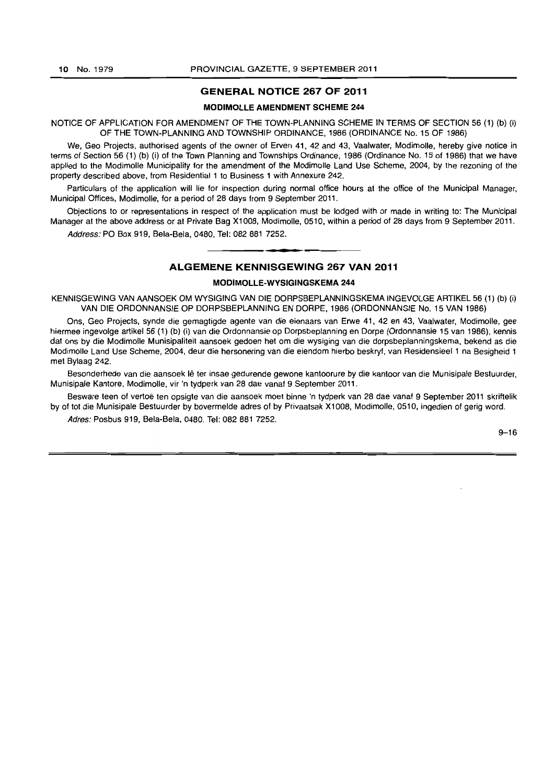#### **GENERAL NOTICE 267 OF 2011**

#### **MODIMOLLE AMENDMENT SCHEME 244**

#### NOTICE OF APPLICATION FOR AMENDMENT OF THE TOWN-PLANNING SCHEME IN TERMS OF SECTION 56 (1) (b) (i) OF THE TOWN-PLANNING AND TOWNSHIP ORDINANCE, 1986 (ORDINANCE No. 15 OF 1986)

We, Geo Projects, authorised agents of the owner of Erven 41, 42 and 43, Vaalwaler, Modimolle, hereby give notice in terms of Section 56 (1) (b) (i) of the Town Planning and Townships Ordinance, 1986 (Ordinance No. 15 of 1986) that we have applied to the Modimolle Municipality for the amendment of the Modimolle Land Use Scheme, 2004, by the rezoning of the property described above, from Residential 1 to Business 1 with Annexure 242.

Particulars of the application will lie for inspection during normal office hours at the office of the Municipal Manager, Municipal Offices, Modimolle, for a period of 28 days from 9 September 2011.

Objections to or representations in respect of the application must be lodged with or made in writing to: The Municipal Manager at the above address or at Private Bag Xl008, Modimolie, 0510, within a period of 28 days from 9 September 2011.

Address: PO Box 919, Bela-Bela, 0480, Tel: 082 881 7252. . **\_ ,** 

#### **ALGEMENE KENNISGEWING 267 VAN 2011**

#### **MODIMOLLE-WYSIGINGSKEMA 244**

KENNISGEWING VAN AANSOEK OM WYSIGING VAN DIE DORPSBEPLANNINGSKEMA INGEVOLGE ARTIKEL 56 (1) (b) (i) VAN DIE ORDONNANSIE OP DORPSBEPLANNING EN DORPE, 1986 (ORDONNANSIE No. 15 VAN 1986)

Ons, Geo Projects, synde die gemagtigde agente van die eienaars van Erwe 41, 42 en 43, Vaalwater, Modimolle, gee hiermee ingevolge artikel 56 (1) (b) (i) van die Ordonnansie op Dorpsbeplanning en Dorpe (Ordonnansie 15 van 1986), kennis dat ons by die Modimolle Munisipalileil aansoek gedoen het om die wysiging van die dorpsbeplanningskema, bekend as die Modimolle Land Use Scheme, 2004, deur die hersonering van die eiendom hierbo beskryf, van Residensieel 1 na Besigheid 1 met Bylaag 242.

Besonderhede van die aansoek Ie ter insae gedurende gewone kantoorure by die kantoor van die Munisipale Bestuurder, Munisipale Kantore, Modimolle, vir 'n tydperk van 28 dae vanaf 9 September 2011.

Besware teen of vertoë ten opsigte van die aansoek moet binne 'n tydperk van 28 dae vanaf 9 September 2011 skriftelik by of tot die Munisipale Bestuurder by bovermelde adres of by Privaatsak Xl008, Modimolle, 0510, ingedien of gerig word.

Adres: Posbus 919, Bela-Bela, 0480. Tel: 082 881 7252.

 $9 - 16$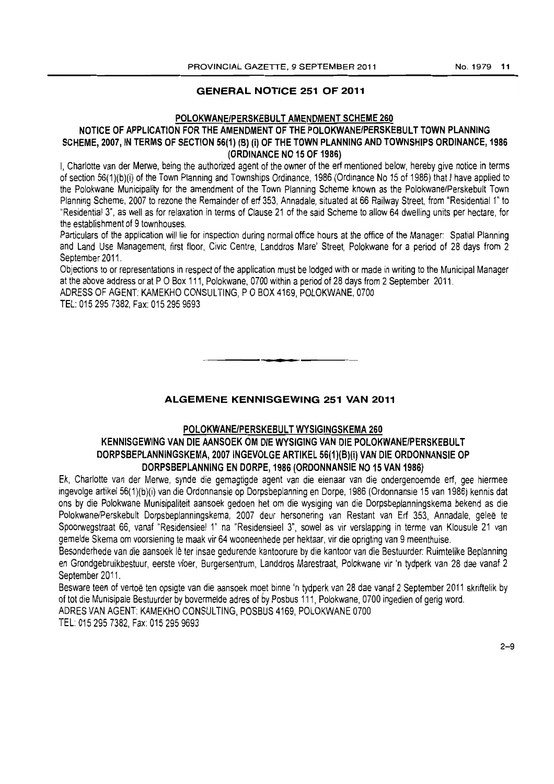### GENERAL NOTICE 251 OF 2011

### POLOKWANE/PERSKEBULT AMENDMENT SCHEME 260

### NOTICE OF APPLICATION FOR THE AMENDMENT OF THE POLOKWANE/PERSKEBULT TOWN PLANNING SCHEME, 2007, IN TERMS OF SECTION 56(1) (B) (i) OF THE TOWN PLANNING AND TOWNSHIPS ORDINANCE, 1986 (ORDINANCE NO 15 OF 1986)

I, Charlotte van der Merwe, being the authorized agent of the owner of the erf mentioned below, hereby give notice in terms of section 56{1 )(b)(i) of the Town Planning and Townships Ordinance, 1986 (Ordinance No 15 of 1986) that I have applied to the Polokwane Municipality for the amendment of the Town Planning Scheme known as the Polokwane/Perskebult Town Planning Scheme, 2007 to rezone the Remainder of erf 353, Annadale, situated at 66 Railway Street, from "Residential 1" to "Residential 3", as well as for relaxation in terms of Clause 21 of the said Scheme to allow 64 dwelling units per hectare, for the establishment of 9 townhouses.

Particulars of the application will lie for inspection during normal office hours at the office of the Manager: Spatial Planning and Land Use Management, first floor, Civic Centre, Landdros Mare' Street, Polokwane for a period of 28 days from 2 September 2011.

Objections to or representations in respect of the application must be lodged with or made in writing to the Municipal Manager at the above address or at P O Box 111, Polokwane, 0700 within a period of 28 days from 2 September 2011.

ADRESS OF AGENT: KAMEKHO CONSULTING, POBOX 4169, POLOKWANE, 0700 TEL: 015 295 7382, Fax: 015 295 9693

### ALGEMENE KENNISGEWING 251 VAN 2011

. **-.** 

### POLOKWANE/PERSKEBULT WYSIGINGSKEMA 260 KENNISGEWING VAN DIE AANSOEK OM DIE WYSIGING VAN DIE POLOKWANE/PERSKEBUL T DORPSBEPLANNINGSKEMA, 2007 INGEVOLGE ARTIKEL 56(1)(B)(i) VAN DIE ORDONNANSIE OP DORPSBEPLANNING EN DORPE, 1986 (ORDONNANSIE NO 15 VAN 1986)

Ek, Charlotte van der Merwe, synde die gemagtigde agent van die eienaar van die ondergenoemde erf, gee hiermee ingevolge artikeI56(1)(b)(i) van die Ordonnansie op Dorpsbepianning en Dorpe, 1986 (Ordonnansie 15 van 1986) kennis dat ons by die Polokwane Munisipaliteit aansoek gedoen het om die wysiging van die Dorpsbeplanningskema bekend as die Polokwane/Perskebult Dorpsbeplanningskema, 2007 deur hersonering van Restant van Erf 353, Annadaie, gelee te Spoorwegstraat 66, vanaf "Residensieel 1" na "Residensieel 3", sowel as vir verslapping in terme van Klousule 21 van gemelde Skema om voorsiening te maak vir 64 wooneenhede per hektaar, vir die oprigting van 9 meenthuise.

Besonderhede van die aansoek lê ter insae gedurende kantoorure by die kantoor van die Bestuurder: Ruimtelike Beplanning en Grondgebruikbestuur, eerste vloer, Burgersentrum, Landdros Marestraat, Polokwane vir 'n tydperk van 28 dae vanaf 2 September 2011.

Besware teen of vertoe ten opsigte van die aansoek moet binne 'n tydperk van 28 dae vanaf 2 September 2011 skriftelik by of tot die Munisipale 8estuurder by bovermelde adres of *by* Posbus 111, Polokwane, 0700 ingedien of gerig word. ADRES VAN AGENT: KAMEKHO CONSULTING, POSBUS 4169, POLOKWANE 0700 TEL: 015 295 7382, Fax: 015 295 9693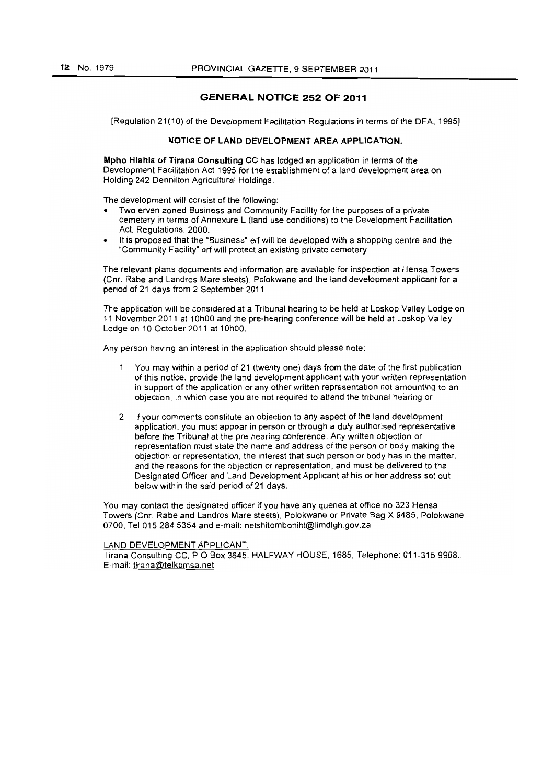### **GENERAL NOTICE 252 OF 2011**

[Regulation 21(10) of the Development Facilitation Regulations in terms of the DFA. 1995]

#### NOTICE OF LAND DEVELOPMENT AREA APPLICATION.

Mpho Hlahla of Tirana Consulting CC has lodged an application in terms of the Development Facilitation Act 1995 for the establishment of a land development area on Holding 242 Dennilton Agricultural Holdings.

The development will consist of the following:

- Two erven zoned Business and Community Facility for the purposes of a private cemetery in terms of Annexure L (land use conditions) to the Development Facilitation Act. Regulations. 2000.
- It is proposed that the "Business" erf will be developed with a shopping centre and the "Community Facility" erf will protect an existing private cemetery.

The relevant plans documents and information are available for inspection at Hensa Towers (Cnr. Rabe and Landros Mare steets). Polokwane and the land development applicant for a period of 21 days from 2 September 2011.

The application will be considered at a Tribunal hearing to be held at Loskop Valley Lodge on 11 November 2011 at 10hOO and the pre-hearing conference will be held at Loskop Valley Lodge on 10 October 2011 at 10hOO.

Any person having an interest in the application should please note:

- 1. You may within a period of 21 (twenty one) days from the date of the first publication of this notice. provide the land development applicant with your written representation in support of the application or any other written representation not amounting to an objection. in which case you are not required to attend the tribunal hearing or
- 2. If your comments constitute an objection to any aspect of the land development application. you must appear in person or through a duly authorised representative before the Tribunal at the pre-hearing conference. Any written objection or representation must state the name and address of the person or body making the objection or representation. the interest that such person or body has in the matter. and the reasons for the objection or representation. and must be delivered to the Designated Officer and Land Development Applicant at his or her address set out below within the said period of 21 days.

You may contact the designated officer if you have any queries at office no 323 Hensa Towers (Cnr. Rabe and Landros Mare steets). Polokwane or Private Bag X 9485. Polokwane 0700. Tel 015 2845354 and e-mail: netshitomboniht@limdlgh.gov.za

#### LAND DEVELOPMENT APPLICANT.

Tirana Consulting CC, P O Box 3645, HALFWAY HOUSE, 1685, Telephone: 011-315 9908., E-mail: tirana@telkomsa.net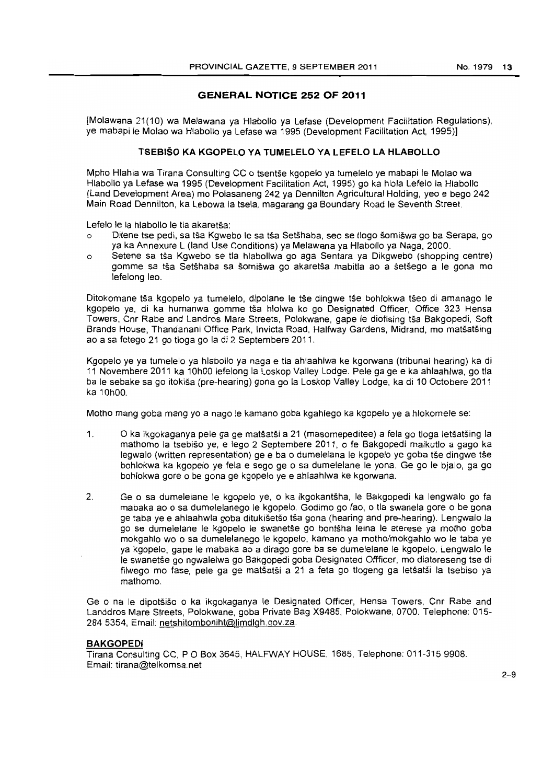### **GENERAL NOTICE 252 OF 2011**

[Molawana 21(10) wa Melawana ya Hlabollo ya Lefase (Development Facilitation Regulations), ye mabapi Ie Molao wa Hlabollo ya Lefase wa 1995 (Development Facilitation Act, 1995)]

### **TSEBISO KA KGOPELO VA TUMELELO VA LEFELO LA HLABOLLO**

Mpho Hlahla wa Tirana Consulting CC 0 tsentse kgopelo ya tumelelo ye mabapi Ie Molao wa Hlabollo ya Lefase wa 1995 (Development Facilitation Act, 1995) go ka hlola Lefelo la Hlabollo (Land Development Area) mo Polasaneng 242 ya Dennilton Agricultural Holding, yeo e bego 242 Main Road Dennilton, ka Lebowa la tsela, magarang ga Boundary Road Ie Seventh Street.

Lefelo le la hlabollo le tla akaretša:

- o Ditene tse pedi, sa tša Kgwebo le sa tša Setšhaba, seo se tlogo šomišwa go ba Serapa, go ya ka Annexure L (land Use Conditions) ya Melawana ya Hlabollo ya Naga, 2000.
- o Setene sa tsa Kgwebo se tla hlabollwa go aga Sentara ya Dikgwebo (shopping centre) gomme sa tsa Setshaba sa somiswa go akaretsa mabitla ao a setsego a Ie gona mo lefelong leo.

Ditokomane tša kgopelo ya tumelelo, dipolane le tše dingwe tše bohlokwa tšeo di amanago le kgopelo ye, di ka humanwa gomme tša hlolwa ko go Designated Officer, Office 323 Hensa Towers, Cnr Rabe and Landros Mare Streets, Polokwane, gape Ie diofising tsa Bakgopedi, Soft Brands House, Thandanani Office Park, Invicta Road, Halfway Gardens, Midrand, mo matsatsing ao a sa fetego 21 go tioga go la di 2 Septembere 2011.

Kgopelo ye ya tumelelo ya hlabollo ya naga e tla ahlaahlwa ke kgorwana (tribunal hearing) ka di 11 Novembere 2011 ka 10hOO lefelong la Loskop Valley Lodge. Pele ga ge e ka ahlaahlwa, go tla ba Ie sebake sa go itokisa (pre-hearing) gona go la Loskop Valley Lodge, ka di 10 Octobere 2011 ka 10hOO.

Motho mang goba mang yo a nago Ie kamano goba kgahlego ka kgopelo ye a hlokomele se:

- 1. 0 ka ikgokaganya pele ga ge matsatsi a 21 (masomepeditee) a fela go tioga letsatsing la mathomo la tsebiso ye, e lego 2 Septembere 2011, 0 fe Bakgopedi maikutlo a gaga ka legwalo (written representation) ge e ba o dumelelana le kgopelo ye goba tše dingwe tše bohlokwa ka kgopelo ye fela e sego ge o sa dumelelane le yona. Ge go le bjalo, ga go bohlokwa gore 0 be gona ge kgopelo ye e ahlaahlwa ke kgorwana.
- 2. Ge 0 sa dumelelane Ie kgopelo ye, 0 ka ikgokantsha, Ie Bakgopedi ka lengwalo go fa mabaka ao 0 sa dumelelanego Ie kgopelo. Godimo go fao, 0 tla swanela gore 0 be gona ge taba ye e ahlaahwla goba ditukisetso tsa gona (hearing and pre-hearing). Lengwalo la go se dumelelane Ie kgopelo Ie swanetse go bontsha leina Ie aterese ya motho goba mokgahlo wo 0 sa dumelelanego Ie kgopelo, kamano ya motho/mokgahlo wo Ie taba ye ya kgopelo, gape Ie mabaka ao a dirago gore ba se dumelelane Ie kgopelo. Lengwalo Ie le swanetše go ngwalelwa go Bakgopedi goba Designated Offficer, mo diatereseng tse di filwego mo fase, pele ga ge matsatsi a 21 a feta go tlogeng ga letsatsi la tsebiso ya mathomo.

Ge 0 na Ie dipotsiso 0 ka ikgokaganya Ie Designated Officer, Hensa Towers, Cnr Rabe and Landdros Mare Streets, Polokwane, goba Private Bag X9485, Polokwane, 0700. Telephone: 015- 284 5354, Email: netshitomboniht@limdlgh.gov.za.

### **BAKGOPEDI**

Tirana Consulting CC, POBox 3645, HALFWAY HOUSE, 1685, Telephone: 011-315 9908. Email: tirana@telkomsa.net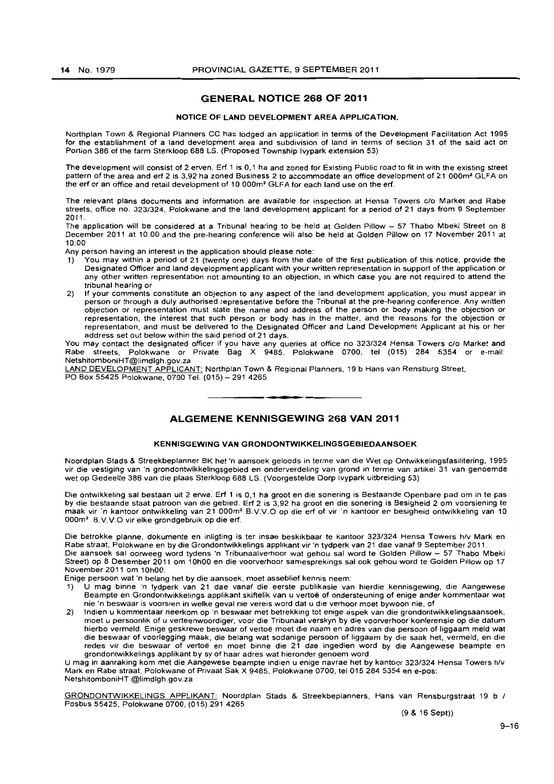### GENERAL NOTICE 268 OF 2011

#### NOTICE OF LAND DEVELOPMENT AREA APPLICATION.

Northplan Town & Regional Planners CC has lodged an application in terms of the Development Facilitation Act 1995 for the establishment of a land development area and subdivision of land in terms of section 31 of the said act on Portion 386 of the farm Sterkloop 688 LS. (Proposed Township Ivypark extension 53)

The development will consist of 2 erven. Erf 1 is 0,1 ha and zoned for Existing Public road to fit in with the existing street pattern of the area and erf 2 is 3,92 ha zoned Business 2 to accommodate an office development of 21 000m<sup>2</sup> GLFA on the erf or an office and retail development of 10 000m2 GLFA for each land use on the erf.

The relevant plans documents and information are available for inspection at Hensa Towers c/o Market and Rabe streets, office no. 323/324, Polokwane and the land development applicant for a period of 21 days from 9 September 2011,

The application will be considered at a Tribunal hearing to be held at Golden Pillow - 57 Thabo Mbeki Street on 8 December 2011 at 10:00 and the pre-hearing conference will also be held at Golden Pillow on 17 November 2011 at 10:00

Any person having an interest in the application should please note:

- 1) You may within a period of 21 (twenty one) days from the date of the first publication of this notice, provide the Designated Officer and land development applicant with your written representation in support of the application or any other written representation not amounting to an objection, in which case you are not required to attend the tribunal hearing or
- 2) If your comments constitute an objection to any aspect of the land development application, you must appear in person or through a duly authorised representative before the Tribunal at the pre-hearing conference, Any written objection or representation must state the name and address of the person or body making the objection or representation, the interest that such person or body has in the matter, and the reasons for the objection or representation, and must be delivered to the Designated Officer and Land Development Applicant at his or her address set out below within the said period of 21 days.

You may contact the designated officer if you have any queries at office no *323/324* Hensa Towers clo Market and Rabe streets, Polokwane or Private Bag X 9485. Polokwane 0700, tel (015) 284 5354 or e-mail: NetshitomboniHT@limdlgh,gov.za

LAND DEVELOPMENT APPLICANT: Northplan Town & Regional Planners, 19 b Hans van Rensburg Street, PO Box 55425 Polokwane, 0700 Tel. (015) - 291 4265

### ALGEMENE KENNISGEWING 268 VAN 2011

**I •** 

#### KENNISGEWING VAN GRONDONTWIKKELINGSGEBIEDAANSOEK

Noordplan Siads & Streekbeplanner BK het 'n aansoek geloods in terme van die Wet op Ontwikkelingsfasilitering, 1995 vir die vestiging van 'n grondontwikkelingsgebied en onderverdeling van grond in terme van artikel 31 van genoemde wet op Gedeelte 386 van die plaas Sterkloop 688 LS. (Voorgesteide Dorp Ivypark uitbreiding 53)

Die ontwikkeling sal bestaan uit 2 erwe. Erf 1 is 0,1 ha groot en die sonering is Bestaande Openbare pad om in te pas by die bestaande staat patroon van die gebied. Erf 2 is 3,92 ha groot en die sonering is Besigheid 2 om voorsiening te maak vir 'n kantoor ontwikkeling van 21 OOOm' B.VV.O op die erf of vir 'n kantoor en besigheid ontwikkeling van 10 000m<sup>2</sup> B.V.V.O vir elke grondgebruik op die erf,

Die betrokke planne, dokumente en inligting is ter insae beskikbaar te kantoor *323/324* Hensa Towers hfv Mark en Rabe straat, Polokwane en by die Grondontwikkelings applikant vir 'n tydperk van 21 dae vanaf 9 September 2011, Die aansoek sal oorweeg word tydens 'n Tribunaalverhoor wat gehou sal word te Golden Pillow - 57 Thabo Mbeki Street) op 8 Desember 2011 om 10hOO en die voorverhoor samesprekings sal ook gehou word Ie Golden Pillow op 17 November 2011 om 10hOO,

Enige persoon wat 'n belang het by die aansoek, moet asseblief kennis neem:

- 1) U mag binne 'n tydperk van 21 dae vanaf die eerste publikasie van hierdie kennisgewing, die Aangewese Beampte en Grondontwikkelings applikant skiftelik van u vertoe of ondersteuning of enige ander kommentaar wat nie 'n beswaar is voorsien in welke geval nie vereis word dat u die verhoor moet bywoon nie, of
- 2) Indien u kommentaar neerkom op 'n beswaar met betrekking tot enige aspek van die grondontwikkelingsaansoek, moet u persoonlik of u verteenwoordiger, voor die Tribunaal verskyn by die voorverhoor konferensie op die datum hierbo vermeld, Enige geskrewe beswaar of vertoe moet die naam en adres van die persoon of liggaam meld wat die beswaar of voorlegging maak, die belang wat sodanige persoon of liggaam by die saak het, vermeld, en die redes vir die beswaar of vertoe en moet binne die 21 dae ingedien word by die Aangewese beampte en grondontwikkelings applikant by sy of haar adres wat hieronder genoem word,

U mag in aanraking kom met die Aangewese beam pte indien u enige navrae het by kantoor *323/324* Hensa Towers h/v Mark en Rabe straat, Polokwane of Privaat Sak X 9485, Polokwane 0700, tel 015 284 5354 en e-pos: NetshitomboniHT @limdlgh,gov.za

GRONDONTWIKKELINGS APPLIKANT: Noordplan Stads & Streekbeplanners, Hans van Rensburgstraat 19 b / Posbus 55425, Polokwane 0700, (015) 2914265

(9 & 16 Sept»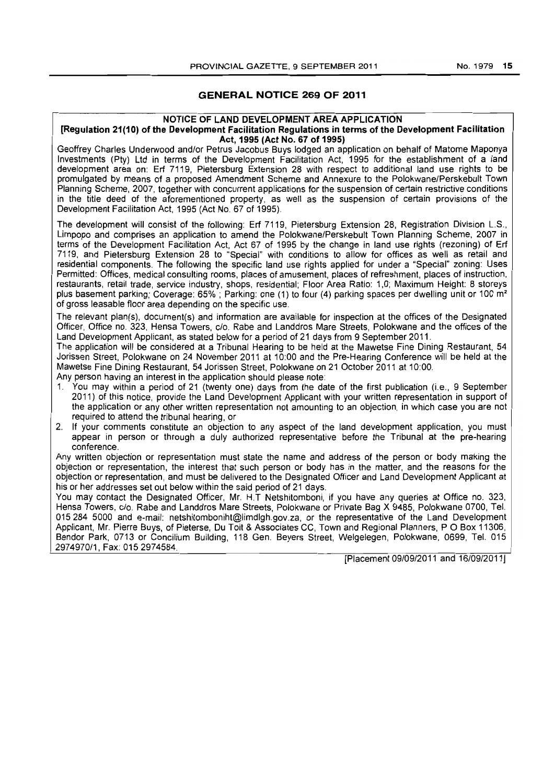### GENERAL NOTICE 269 OF 2011

### NOTICE OF LAND DEVELOPMENT AREA APPLICATION

#### [Regulation 21(10) of the Development Facilitation Regulations in terms of the Development Facilitation Act, 1995 (Act No. 67 of 1995)

Geoffrey Charles Underwood and/or Petrus Jacobus Buys lodged an application on behalf of Matome Maponya Investments (Pty) Ltd in terms of the Development Facilitation Act, 1995 for the establishment of a land development area on: Erf 7119, Pietersburg Extension 28 with respect to additional land use rights to be promulgated by means of a proposed Amendment Scheme and Annexure to the Polokwane/Perskebult Town Planning Scheme, 2007, together with concurrent applications for the suspension of certain restrictive conditions in the title deed of the aforementioned property, as well as the suspension of certain provisions of the Development Facilitation Act, 1995 (Act No. 67 of 1995).

The development will consist of the following: Erf 7119, Pietersburg Extension 28, Registration Division L.S., Limpopo and comprises an application to amend the Polokwane/Perskebult Town Planning Scheme, 2007 in terms of the Development Facilitation Act, Act 67 of 1995 by the change in land use rights (rezoning) of Erf 7119, and Pietersburg Extension 28 to "Special" with conditions to allow for offices as well as retail and residential components. The following the specific land use rights applied for under a "Special" zoning: Uses Permitted: Offices, medical consulting rooms, places of amusement, places of refreshment. places of instruction, restaurants, retail trade, service industry, shops, residential; Floor Area Ratio: 1,0; Maximum Height: 8 storeys plus basement parking; Coverage: 65%; Parking: one (1) to four (4) parking spaces per dwelling unit or 100 m<sup>2</sup> of gross leasable floor area depending on the specific use.

The relevant plan(s), document(s) and information are available for inspection at the offices of the Designated Officer, Office no. 323, Hensa Towers, c/o. Rabe and Landdros Mare Streets, Polokwane and the offices of the Land Development Applicant, as stated below for a period of 21 days from 9 September 2011.

The application will be considered at a Tribunal Hearing to be held at the Mawetse Fine Dining Restaurant, 54 Jorissen Street, Polokwane on 24 November 2011 at 10:00 and the Pre-Hearing Conference will be held at the Mawetse Fine Dining Restaurant, 54 Jorissen Street. Polokwane on 21 October 2011 at 10:00.

Any person having an interest in the application should please note:

- 1. You may within a period of 21 (twenty one) days from the date of the first publication (i.e., 9 September 2011) of this notice, provide the Land Development Applicant with your written representation in support of the application or any other written representation not amounting to an objection, in which case you are not required to attend the tribunal hearing, or
- 2. If your comments constitute an objection to any aspect of the land development application, you must appear in person or through a duly authorized representative before the Tribunal at the pre-hearing conference. The context of the context of the context of the context of the context of the context of the context of the context of the context of the context of the context of the context of the context of the context of

Any written objection or representation must state the name and address of the person or body making the objection or representation, the interest that such person or body has in the matter, and the reasons for the objection or representation, and must be delivered to the Designated Officer and Land Development Applicant at his or her addresses set out below within the said period of 21 days.

You may contact the Designated Officer, Mr. H.T Netshitomboni, if you have any queries at Office no. 323, Hensa Towers, c/o. Rabe and Landdros Mare Streets, Polokwane or Private Bag X 9485, Polokwane 0700, Tel. 015284 5000 and e-mail: netshitomboniht@limdlgh.gov.za. or the representative of the Land Development Applicant, Mr. Pierre Buys, of Pieterse, Du Toit & Associates CC, Town and Regional Planners, POBox 11306, Bendor Park. 0713 or Concilium Building, 118 Gen. Beyers Street, Welgelegen, Polokwane, 0699, Tel. 015 2974970/1, Fax: 0152974584.

[Placement 09/09/2011 and 16/09/2011]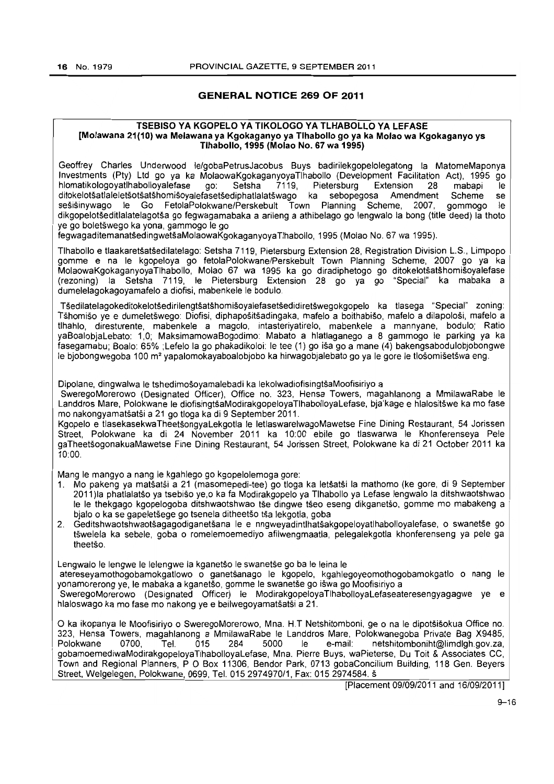### GENERAL NOTICE 269 OF 2011

#### TSEBISO VA KGOPELO VA TIKOLOGO VA TLHABOLLO VA LEFASE [Molawana 21(10) wa Melawana ya Kgokaganyo ya Tihabollo go ya ka Molao wa Kgokaganyo ys Tlhabollo, 1995 (Molao No. 67 wa 1995)

Geoffrey Charles Underwood le/gobaPetrusJacobus Buys badirilekgopelolegatong la MatomeMaponya Investments (Pty) Ltd go ya ka MolaowaKgokaganyoyaTlhabollo (Development Facilitation Act), 1995 go hlomatikologoyatlhabolloyalefase go: Setsha 7119, Pietersburg Extension 28 mabapi Ie ditokelotsatlaleletsotsatshomisoyalefasetsediphatlalatswago ka sebopegosa Amendment Scheme se sesisinywago Ie Go FetolaPolokwane/Perskebult Town Planning Scheme. 2007, gommogo Ie dikgopelotseditlalatelagotsa go fegwagamabaka a arileng a athibelago go lengwal0 la bong (title deed) la thoto ye go boletswego ka yona, gammogo Ie go

fegwagaditemanatsedingwetsaMolaowaKgokaganyoyaTlhabolio. 1995 (Molao No. 67 wa 1995).

Tlhabollo e tlaakaretsatsedilatelago: Setsha 7119. Pietersburg Extension 28, Registration Division L.S., Limpopo gomme e na Ie kgopeloya go fetolaPolokwane/Perskebult Town Planning Scheme. 2007 go ya ka MolaowaKgokaganyoyaTlhabollo, Molao 67 wa 1995 ka go diradiphetogo go ditokelotsatshomisoyalefase (rezoning) la Setsha 7119. Ie Pietersburg Extension 28 go ya go "Special" ka mabaka a dumelelagokagoyamafelo a diofisi. mabenkele Ie bodulo.

TSediiatelagokeditokelotsedirilengtsatshomisoyalefasetsedidiretswegokgopelo ka tlasega "Special" zoning: TShomiso ye e dumeletswego: Diofisi, diphapositsadingaka, mafelo a boithabiso, mafelo a dilapolosi, mafelo a tlhahlo. diresturente, mabenkele a magolo, intasteriyatirelo. mabenkele a mannyane, bodulo; Ratio yaBoalobjaLebato: 1,0; MaksimamowaBogodimo: Mabato a hlatlaganego a 8 gammogo ie parking ya ka fasegamabu; Boalo: 65% ;Lefelo la go phakadikoloi: Ie tee (1) go isa go a mane (4) bakengsabodulobjobongwe le bjobongwegoba 100 m<sup>2</sup> yapalomokayaboalobjobo ka hirwagobjalebato go ya le gore le tlošomišetšwa eng.

Dipolane, dingwalwa le tshedimošoyamalebadi ka lekolwadiofisingtšaMoofisiriyo a

SweregoMorerowo (Designated Officer). Office no. 323. Hensa Towers, magahlanong a MmilawaRabe Ie Landdros Mare, Polokwane le diofisingtšaModirakgopeloyaTlhabolloyaLefase, bja'kage e hlalositšwe ka mo fase mo nakongyamatsatsi a 21 go tioga ka di 9 September 2011.

Kgopelo e tlasekasekwaTheetsongyaLekgotla Ie letlaswarelwagoMawetse Fine Dining Restaurant, 54 Jorissen Street, Polokwane ka di 24 November 2011 ka 10:00 ebile go tlaswarwa le Khonferenseya Pele gaTheetsogonakuaMawetse Fine Dining Restaurant. 54 Jorissen Street. Polokwane ka di 21 October 2011 ka 10:00.

Mang Ie mangyo a nang Ie kgahlego go kgopelolemoga gore:

- 1. Mo pakeng ya matsatsi a 21 (masomepedi-tee) go tioga ka letsatsi la mathomo (ke gore, dl 9 September 2011 )Ia phatlalatso ya tsebiso ye.o ka fa Modirakgopelo ya Tlhabollo ya Lefase lengwalo la dltshwaotshwao le le thekgago kgopelogoba ditshwaotshwao tse dingwe tseo eseng dikganetso, gomme mo mabakeng a bjalo o ka se gapeletšege go tsenela ditheetšo tša lekgotla, goba
- 2. Geditshwaotshwaotsagagodiganetsana Ie e nngweyadintlhatsakgopeloyatlhabolloyalefase, 0 swanetse go tswelela ka sebele. goba 0 romelemoemediyo afilwengmaatla, pelegalekgotla khonferenseng ya pele ga theetšo.

Lengwalo le lengwe le lelengwe la kganetšo le swanetše go ba le leina le

atereseyamothogobamokgatlowo 0 ganetsanago Ie kgopelo. kgahlegoyeomothogobamokgatlo 0 nang Ie yonamorerong ye, Ie mabaka a kganetso, gomme Ie swanetse go iswa go Moofisiriyo a

SweregoMorerowo (Designated Officer) Ie ModirakgopeloyaTlhabolloyaLefaseateresengyagagwe ye e hlaloswago ka mo fase mo nakong ye e beilwegoyamatsatsi a 21.

o ka ikopanya Ie Moofisiriyo 0 SweregoMorerowo. Mna. H.T Netshitomboni. ge 0 na Ie dipotsisokua Office no. 323, Hensa Towers, magahlanong a MmilawaRabe le Landdros Mare. Polokwanegoba Private Bag X9485,<br>Polokwane 0700. Tel. 015 284 5000 le e-mail: netshitomboniht@limdlgh.gov.za. le e-mail: netshitomboniht@limdlgh.gov.za. gobamoemediwaModirakgopeloyaTlhabolloyaLefase, Mna. Pierre Buys, waPieterse, Du Toit & Associates CC. Town and Regional Planners, POBox 11306, Bendor Park, 0713 gobaConcilium Building, 118 Gen. Beyers Street, Welgelegen, Polokwane, 0699, Tel. 015 2974970/1, Fax: 015 2974584, š

[Placement 09/09/2011 and 16/09/2011]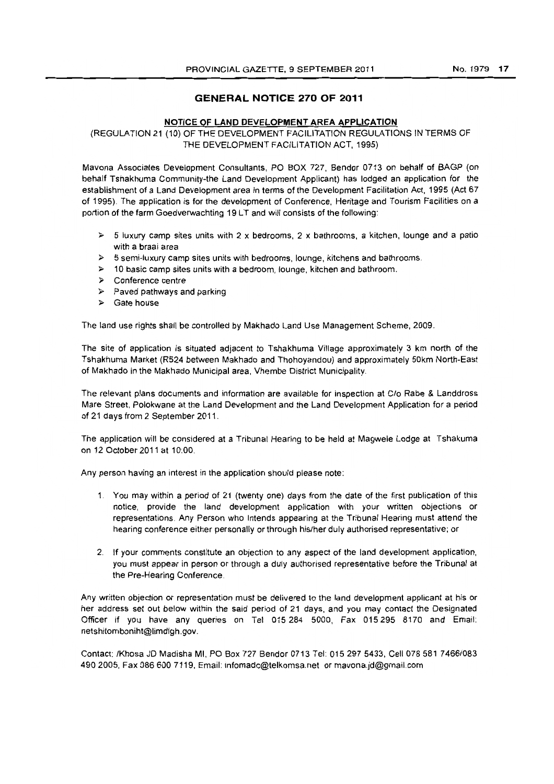### **GENERAL NOTICE 270 OF 2011**

#### **NOTICE OF LAND DEVELOPMENT AREA APPLICATION**

(REGULATION 21 (10) OF THE DEVELOPMENT FACILITATION REGULATIONS IN TERMS OF THE DEVELOPMENT FACILITATION ACT, 1995)

Mavona Associates Development Consultants, PO BOX 727, Bendor 0713 on behalf of BAGP (on behalf Tshakhuma Community-the Land Development Applicant) has lodged an application for the establishment of a Land Development area in terms of the Development Facilitation Act, 1995 (Act 67 of 1995). The application is for the development of Conference, Heritage and Tourism Facilities on a portion of the farm Goedverwachting 19 LT and will consists of the following:

- $\geq$  5 luxury camp sites units with 2 x bedrooms, 2 x bathrooms, a kitchen, lounge and a patio with a braai area
- $\triangleright$  5 semi-luxury camp sites units with bedrooms, lounge, kitchens and bathrooms.
- $\geq$  10 basic camp sites units with a bedroom, lounge, kitchen and bathroom.
- )0> Conference centre
- $\triangleright$  Paved pathways and parking
- $\triangleright$  Gate house

The land use rights shall be controlled by Makhado Land Use Management Scheme, 2009.

The site of application is situated adjacent to Tshakhuma Village approximately 3 km north of the Tshakhuma Market (R524 between Makhado and Thohoyandou) and approximately 50km North-East of Makhado in the Makhado Municipal area, Vhembe District Municipality.

The relevant plans documents and information are available for inspection at Clo Rabe & Landdross Mare Street, Polokwane at the Land Development and the Land Development Application for a period of 21 days from 2 September 2011.

The application will be considered at a Tribunal Hearing to be held at Magwele Lodge at Tshakuma on 12 October 2011 at 10:00.

Any person having an interest in the application should please note:

- 1. You may within a period of 21 (twenty one) days from the date of the first publication of this notice, provide the land development application with your written objections or representations. Any Person who Intends appearing at the Tribunal Hearing must attend the hearing conference either personally or through his/her duly authorised representative; or
- 2. If your comments constitute an objection to any aspect of the land development application, you must appear in person or through a duly authorised representative before the Tribunal at the Pre-Hearing Conference.

Any written objection or representation must be delivered to the land development applicant at his or her address set out below within the said period of 21 days, and you may contact the Designated Officer if you have any queries on Tel 015284 5000, Fax 015295 8170 and Email: netshitomboniht@limdlgh.gov.

Contact: IKhosa JD Madisha MI, PO Box 727 Bendor 0713 Tel: 0152975433, Cell 078581 7466/083 4902005, Fax 086 600 7119, Email: infomadc@telkomsa.net or mavona.jd@gmail.com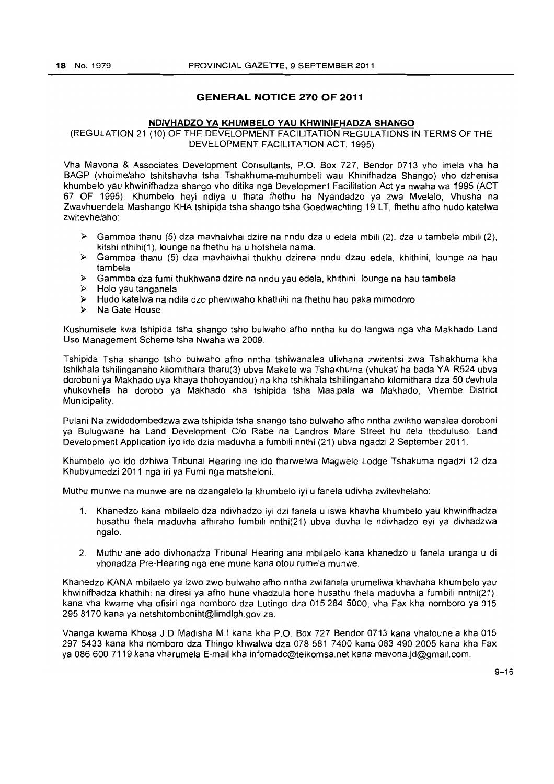### **GENERAL NOTICE 270 OF 2011**

#### **NDIVHADZO YA KHUMBELO YAU KHWINIFHADZA SHANGO**

(REGULATION 21 (10) OF THE DEVELOPMENT FACILITATION REGULATIONS **IN** TERMS OF THE DEVELOPMENT FACILITATION ACT, 1995)

Vha Mavona & Associates Development Consultants, P.O. Box 727, Bendor 0713 vho imela vha ha BAGP (vhoimelaho tshitshavha tsha Tshakhuma-muhumbeli wau Khinifhadza Shango) vho dzhenisa khumbelo yau khwinifhadza shango vho ditika nga Development Facilitation Act ya nwaha wa 1995 (ACT 67 OF 1995). Khumbelo heyi ndiya u fhata fhethu ha Nyandadzo ya zwa Mvelelo, Vhusha na Zwayhuendela Mashango KHA tshipida tsha shango tsha Goedwachting 19 LT, fhethu afho hudo katelwa zwitevhelaho:

- ,.. Gammba thanu (5) dza mavhaivhai dzire na nndu dza u edela mbili (2), dza u tambela mbili (2), kitshi nthihi(1). lounge na fhethu ha u hotshela nama.
- <sup>~</sup>Gammba thanu (5) dza mavhaivhai thukhu dzirena nndu dzau edela, khithini, lounge na hau tambela
- <sup>~</sup>Gammba dza fumi thukhwana dzire na nndu yau edela, khithini, lounge na hau tambela
- ,.. Holo yau tanganela
- <sup>~</sup>Hudo katelwa na ndila dzo pheiviwaho khathihi na fhethu hau paka mimodoro
- $\triangleright$  Na Gate House

Kushumisele kwa tshipida tsha shango tsho bulwaho afho nntha ku do langwa nga vha Makhado Land Use Management Scheme tsha Nwaha wa 2009.

Tshipida Tsha shango tsho bulwaho afho nntha tshiwanalea ulivhana zwitentsi zwa Tshakhuma kha tshikhala tshilinganaho kilomithara tharu(3) ubva Makete wa Tshakhuma (vhukati ha bada YA R524 ubva doroboni ya Makhado uya khaya thohoyandou) na kha tshikhala tshilinganaho kilomithara dza 50 devhula vhukovhela ha dorobo ya Makhado kha tshipida tsha Masipala wa Makhado, Vhembe District Municipality.

Pulani Na zwidodombedzwa zwa tshipida tsha shango tsho bulwaho afho nntha zwikho wanalea doroboni ya Bulugwane ha Land Development C/o Rabe na Landros Mare Street hu itela thoduluso, Land Development Application iyo ido dzia maduvha a fumbili nnthi (21) ubva ngadzi 2 September 2011.

Khumbelo iyo ido dzhiwa Tribunal Hearing ine ido fharwelwa Magwele Lodge Tshakuma ngadzi 12 dza Khubvumedzi 2011 nga iri ya Fumi nga matsheloni.

Muthu munwe na munwe are na dzangalelo la khumbelo iyi u fanela udivha zwitevhelaho:

- 1. Khanedzo kana mbilaelo dza ndivhadzo Iyi dzi fanela u iswa khavha khumbelo yau khwinifhadza husathu fhela maduvha afhiraho fumbili nnthi(21) ubva duvha Ie ndivhadzo eyi ya divhadzwa ngalo.
- 2. Muthu ane ado divhonadza Tribunal Hearing ana mbilaelo kana khanedzo u fanela uranga u di vhonadza Pre-Hearing nga ene mune kana otou rumela munwe.

Khanedzo KANA mbilaelo ya izwo zwo bulwaho afho nntha zwifanela urumeliwa khavhaha khumbelo yau khwinifhadza khathihi na diresi ya afho hune vhadzula hone husathu fhela maduvha a fumbili nnthi(21), kana vha kwame vha ofisiri nga nomboro dza Lutingo dza 015284 5000, vha Fax kha nomboro ya 015 2958170 kana ya netshitomboniht@limdlgh.gov.za.

Vhanga kwama Khosa J.D Madisha M.I kana kha P.O. Box 727 Bendor 0713 kana vhafounela kha 015 297 5433 kana kha nomboro dza Thingo khwalwa dza 078 581 7400 kand 0834902005 kana kha Fax ya 086 600 7119 kana vharumela E-mail khainfomadc@telkomsa.netkanamavona.jd@gmail.com.